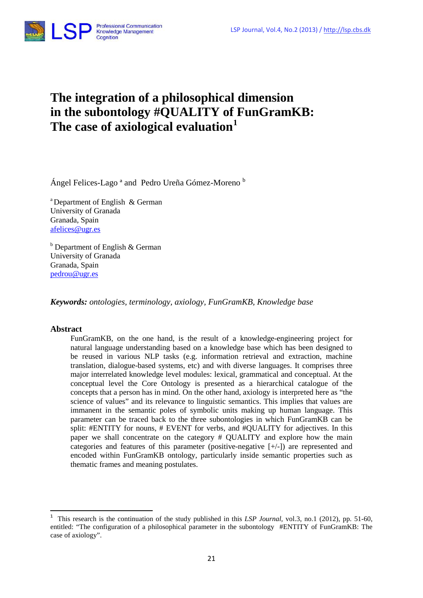

# **The integration of a philosophical dimension in the subontology #QUALITY of FunGramKB: The case of axiological evaluation[1](#page-0-0)**

Ángel Felices-Lago ª and Pedro Ureña Gómez-Moreno b

a Department of English & German University of Granada Granada, Spain [afelices@ugr.es](mailto:afelices@ugr.es)

 $b$  Department of English & German University of Granada Granada, Spain [pedrou@ugr.es](mailto:pedrou@ugr.es)

*Keywords: ontologies, terminology, axiology, FunGramKB, Knowledge base* 

# **Abstract**

**.** 

FunGramKB, on the one hand, is the result of a knowledge-engineering project for natural language understanding based on a knowledge base which has been designed to be reused in various NLP tasks (e.g. information retrieval and extraction, machine translation, dialogue-based systems, etc) and with diverse languages. It comprises three major interrelated knowledge level modules: lexical, grammatical and conceptual. At the conceptual level the Core Ontology is presented as a hierarchical catalogue of the concepts that a person has in mind. On the other hand, axiology is interpreted here as "the science of values" and its relevance to linguistic semantics. This implies that values are immanent in the semantic poles of symbolic units making up human language. This parameter can be traced back to the three subontologies in which FunGramKB can be split: #ENTITY for nouns, # EVENT for verbs, and #QUALITY for adjectives. In this paper we shall concentrate on the category # QUALITY and explore how the main categories and features of this parameter (positive-negative [+/-]) are represented and encoded within FunGramKB ontology, particularly inside semantic properties such as thematic frames and meaning postulates.

<span id="page-0-0"></span><sup>1</sup> This research is the continuation of the study published in this *LSP Journal,* vol.3, no.1 (2012), pp. 51-60, entitled: "The configuration of a philosophical parameter in the subontology #ENTITY of FunGramKB: The case of axiology".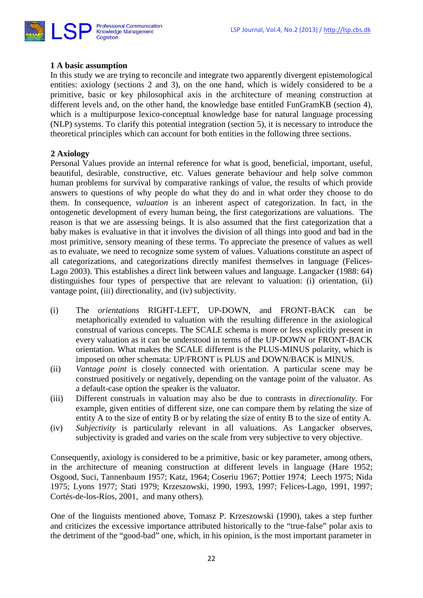

# **1 A basic assumption**

In this study we are trying to reconcile and integrate two apparently divergent epistemological entities: axiology (sections 2 and 3), on the one hand, which is widely considered to be a primitive, basic or key philosophical axis in the architecture of meaning construction at different levels and, on the other hand, the knowledge base entitled FunGramKB (section 4), which is a multipurpose lexico-conceptual knowledge base for natural language processing (NLP) systems. To clarify this potential integration (section 5), it is necessary to introduce the theoretical principles which can account for both entities in the following three sections.

# **2 Axiology**

Personal Values provide an internal reference for what is good, beneficial, important, useful, beautiful, desirable, constructive, etc. Values generate behaviour and help solve common human problems for survival by comparative rankings of value, the results of which provide answers to questions of why people do what they do and in what order they choose to do them. In consequence, *valuation* is an inherent aspect of categorization. In fact, in the ontogenetic development of every human being, the first categorizations are valuations. The reason is that we are assessing beings. It is also assumed that the first categorization that a baby makes is evaluative in that it involves the division of all things into good and bad in the most primitive, sensory meaning of these terms. To appreciate the presence of values as well as to evaluate, we need to recognize some system of values. Valuations constitute an aspect of all categorizations, and categorizations directly manifest themselves in language (Felices-Lago 2003). This establishes a direct link between values and language. Langacker (1988: 64) distinguishes four types of perspective that are relevant to valuation: (i) orientation, (ii) vantage point, (iii) directionality, and (iv) subjectivity.

- (i) The *orientations* RIGHT-LEFT, UP-DOWN, and FRONT-BACK can be metaphorically extended to valuation with the resulting difference in the axiological construal of various concepts. The SCALE schema is more or less explicitly present in every valuation as it can be understood in terms of the UP-DOWN or FRONT-BACK orientation. What makes the SCALE different is the PLUS-MINUS polarity, which is imposed on other schemata: UP/FRONT is PLUS and DOWN/BACK is MINUS.
- (ii) *Vantage point* is closely connected with orientation. A particular scene may be construed positively or negatively, depending on the vantage point of the valuator. As a default-case option the speaker is the valuator.
- (iii) Different construals in valuation may also be due to contrasts in *directionality*. For example, given entities of different size, one can compare them by relating the size of entity A to the size of entity B or by relating the size of entity B to the size of entity A.
- (iv) *Subjectivity* is particularly relevant in all valuations. As Langacker observes, subjectivity is graded and varies on the scale from very subjective to very objective.

Consequently, axiology is considered to be a primitive, basic or key parameter, among others, in the architecture of meaning construction at different levels in language (Hare 1952; Osgood, Suci, Tannenbaum 1957; Katz, 1964; Coseriu 1967; Pottier 1974; Leech 1975; Nida 1975; Lyons 1977; Stati 1979; Krzeszowski, 1990, 1993, 1997; Felices-Lago, 1991, 1997; Cortés-de-los-Ríos, 2001, and many others).

One of the linguists mentioned above, Tomasz P. Krzeszowski (1990), takes a step further and criticizes the excessive importance attributed historically to the "true-false" polar axis to the detriment of the "good-bad" one, which, in his opinion, is the most important parameter in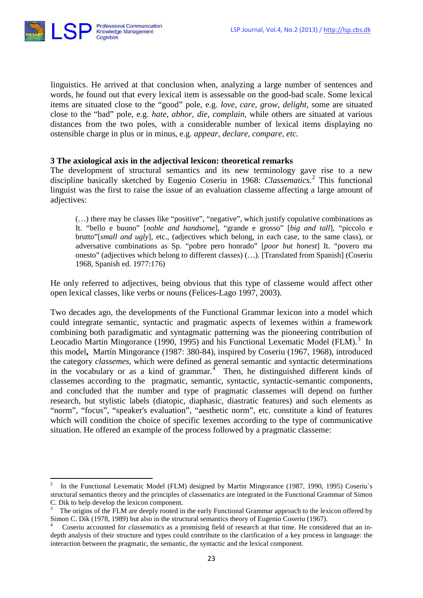

 $\overline{a}$ 

linguistics. He arrived at that conclusion when, analyzing a large number of sentences and words, he found out that every lexical item is assessable on the good-bad scale. Some lexical items are situated close to the "good" pole, e.g. *love, care, grow, delight,* some are situated close to the "bad" pole, e.g. *hate, abhor, die, complain,* while others are situated at various distances from the two poles, with a considerable number of lexical items displaying no ostensible charge in plus or in minus, e.g. *appear, declare, compare, etc.*

# **3 The axiological axis in the adjectival lexicon: theoretical remarks**

The development of structural semantics and its new terminology gave rise to a new discipline basically sketched by Eugenio Coseriu in 1968: *Classematics*. [2](#page-2-0) This functional linguist was the first to raise the issue of an evaluation classeme affecting a large amount of adiectives:

(…) there may be classes like "positive", "negative", which justify copulative combinations as It. "bello e buono" [*noble and handsome*], "grande e grosso" [*big and tall*], "piccolo e brutto"[*small and ugly*], etc., (adjectives which belong, in each case, to the same class), or adversative combinations as Sp. "pobre pero honrado" [*poor but honest*] It. "povero ma onesto" (adjectives which belong to different classes) (…). [Translated from Spanish] (Coseriu 1968, Spanish ed. 1977:176)

He only referred to adjectives, being obvious that this type of classeme would affect other open lexical classes, like verbs or nouns (Felices-Lago 1997, 2003).

Two decades ago, the developments of the Functional Grammar lexicon into a model which could integrate semantic, syntactic and pragmatic aspects of lexemes within a framework combining both paradigmatic and syntagmatic patterning was the pioneering contribution of Leocadio Martin Mingorance (1990, 1995) and his Functional Lexematic Model (FLM).<sup>[3](#page-2-1)</sup> In this model**,** Martín Mingorance (1987: 380-84), inspired by Coseriu (1967, 1968), introduced the category *classemes,* which were defined as general semantic and syntactic determinations in the vocabulary or as a kind of grammar. $\frac{4}{3}$  $\frac{4}{3}$  $\frac{4}{3}$  Then, he distinguished different kinds of classemes according to the pragmatic, semantic, syntactic, syntactic-semantic components, and concluded that the number and type of pragmatic classemes will depend on further research, but stylistic labels (diatopic, diaphasic, diastratic features) and such elements as "norm", "focus", "speaker's evaluation", "aesthetic norm", etc. constitute a kind of features which will condition the choice of specific lexemes according to the type of communicative situation. He offered an example of the process followed by a pragmatic classeme:

<span id="page-2-0"></span><sup>2</sup> In the Functional Lexematic Model (FLM) designed by Martin Mingorance (1987, 1990, 1995) Coseriu`s structural semantics theory and the principles of classematics are integrated in the Functional Grammar of Simon C. Dik to help develop the lexicon component.

<span id="page-2-1"></span>The origins of the FLM are deeply rooted in the early Functional Grammar approach to the lexicon offered by Simon C. Dik (1978, 1989) but also in the structural semantics theory of Eugenio Coseriu (1967).

<span id="page-2-2"></span><sup>4</sup> Coseriu accounted for *classematics* as a promising field of research at that time. He considered that an indepth analysis of their structure and types could contribute to the clarification of a key process in language: the interaction between the pragmatic, the semantic, the syntactic and the lexical component.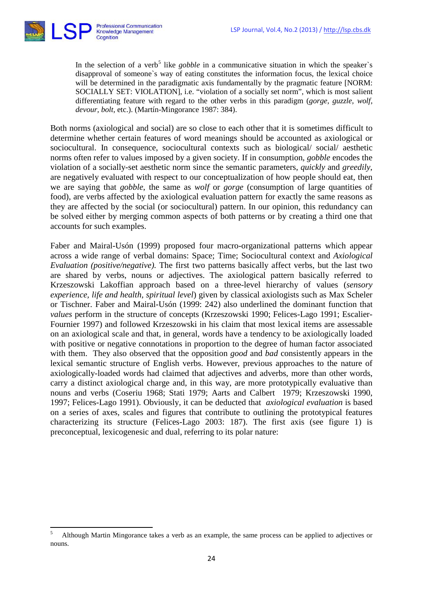

**.** 

In the selection of a verb<sup>[5](#page-3-0)</sup> like *gobble* in a communicative situation in which the speaker's disapproval of someone`s way of eating constitutes the information focus, the lexical choice will be determined in the paradigmatic axis fundamentally by the pragmatic feature [NORM: SOCIALLY SET: VIOLATION], i.e. "violation of a socially set norm", which is most salient differentiating feature with regard to the other verbs in this paradigm (*gorge, guzzle, wolf, devour, bolt,* etc.). (Martín-Mingorance 1987: 384).

Both norms (axiological and social) are so close to each other that it is sometimes difficult to determine whether certain features of word meanings should be accounted as axiological or sociocultural. In consequence, sociocultural contexts such as biological/ social/ aesthetic norms often refer to values imposed by a given society. If in consumption, *gobble* encodes the violation of a socially-set aesthetic norm since the semantic parameters, *quickly* and *greedily*, are negatively evaluated with respect to our conceptualization of how people should eat, then we are saying that *gobble*, the same as *wolf* or *gorge* (consumption of large quantities of food), are verbs affected by the axiological evaluation pattern for exactly the same reasons as they are affected by the social (or sociocultural) pattern. In our opinion, this redundancy can be solved either by merging common aspects of both patterns or by creating a third one that accounts for such examples.

Faber and Mairal-Usón (1999) proposed four macro-organizational patterns which appear across a wide range of verbal domains: Space; Time; Sociocultural context and *Axiological Evaluation (positive/negative).* The first two patterns basically affect verbs, but the last two are shared by verbs, nouns or adjectives. The axiological pattern basically referred to Krzeszowski Lakoffian approach based on a three-level hierarchy of values (*sensory experience, life and health, spiritual level*) given by classical axiologists such as Max Scheler or Tischner. Faber and Mairal-Usón (1999: 242) also underlined the dominant function that *values* perform in the structure of concepts (Krzeszowski 1990; Felices-Lago 1991; Escalier-Fournier 1997) and followed Krzeszowski in his claim that most lexical items are assessable on an axiological scale and that, in general, words have a tendency to be axiologically loaded with positive or negative connotations in proportion to the degree of human factor associated with them. They also observed that the opposition *good* and *bad* consistently appears in the lexical semantic structure of English verbs. However, previous approaches to the nature of axiologically-loaded words had claimed that adjectives and adverbs, more than other words, carry a distinct axiological charge and, in this way, are more prototypically evaluative than nouns and verbs (Coseriu 1968; Stati 1979; Aarts and Calbert 1979; Krzeszowski 1990, 1997; Felices-Lago 1991). Obviously, it can be deducted that *axiological evaluation* is based on a series of axes, scales and figures that contribute to outlining the prototypical features characterizing its structure (Felices-Lago 2003: 187). The first axis (see figure 1) is preconceptual, lexicogenesic and dual, referring to its polar nature:

<span id="page-3-0"></span><sup>5</sup> Although Martin Mingorance takes a verb as an example, the same process can be applied to adjectives or nouns.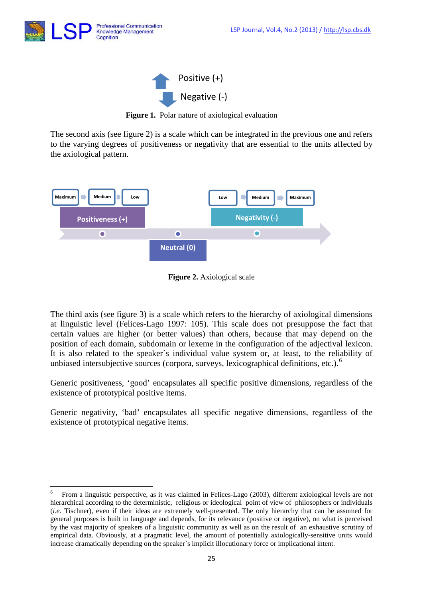

 $\overline{a}$ 



**Figure 1.** Polar nature of axiological evaluation

The second axis (see figure 2) is a scale which can be integrated in the previous one and refers to the varying degrees of positiveness or negativity that are essential to the units affected by the axiological pattern.



**Figure 2.** Axiological scale

The third axis (see figure 3) is a scale which refers to the hierarchy of axiological dimensions at linguistic level (Felices-Lago 1997: 105). This scale does not presuppose the fact that certain values are higher (or better values) than others, because that may depend on the position of each domain, subdomain or lexeme in the configuration of the adjectival lexicon. It is also related to the speaker`s individual value system or, at least, to the reliability of unbiased intersubjective sources (corpora, surveys, lexicographical definitions, etc.).<sup>[6](#page-4-0)</sup>

Generic positiveness, 'good' encapsulates all specific positive dimensions, regardless of the existence of prototypical positive items.

Generic negativity, 'bad' encapsulates all specific negative dimensions, regardless of the existence of prototypical negative items.

<span id="page-4-0"></span><sup>6</sup> From a linguistic perspective, as it was claimed in Felices-Lago (2003), different axiological levels are not hierarchical according to the deterministic, religious or ideological point of view of philosophers or individuals (*i.e.* Tischner), even if their ideas are extremely well-presented. The only hierarchy that can be assumed for general purposes is built in language and depends, for its relevance (positive or negative), on what is perceived by the vast majority of speakers of a linguistic community as well as on the result of an exhaustive scrutiny of empirical data. Obviously, at a pragmatic level, the amount of potentially axiologically-sensitive units would increase dramatically depending on the speaker`s implicit illocutionary force or implicational intent.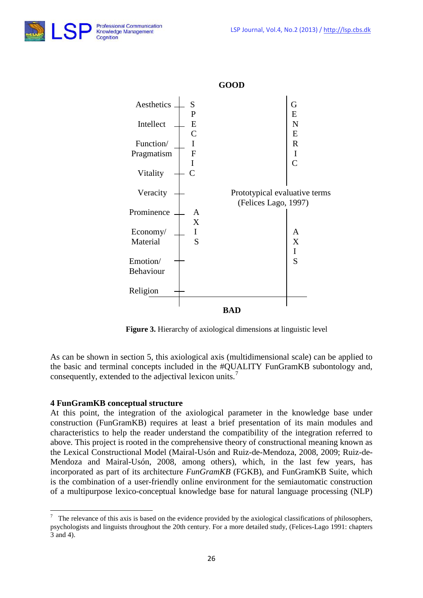



**Figure 3.** Hierarchy of axiological dimensions at linguistic level

As can be shown in section 5, this axiological axis (multidimensional scale) can be applied to the basic and terminal concepts included in the #QUALITY FunGramKB subontology and, consequently, extended to the adjectival lexicon units.<sup>[7](#page-5-0)</sup>

# **4 FunGramKB conceptual structure**

 $\overline{a}$ 

At this point, the integration of the axiological parameter in the knowledge base under construction (FunGramKB) requires at least a brief presentation of its main modules and characteristics to help the reader understand the compatibility of the integration referred to above. This project is rooted in the comprehensive theory of constructional meaning known as the Lexical Constructional Model (Mairal-Usón and Ruiz-de-Mendoza, 2008, 2009; Ruiz-de-Mendoza and Mairal-Usón, 2008, among others), which, in the last few years, has incorporated as part of its architecture *FunGramKB* (FGKB), and FunGramKB Suite, which is the combination of a user-friendly online environment for the semiautomatic construction of a multipurpose lexico-conceptual knowledge base for natural language processing (NLP)

<span id="page-5-0"></span><sup>7</sup> The relevance of this axis is based on the evidence provided by the axiological classifications of philosophers, psychologists and linguists throughout the 20th century. For a more detailed study, (Felices-Lago 1991: chapters 3 and 4).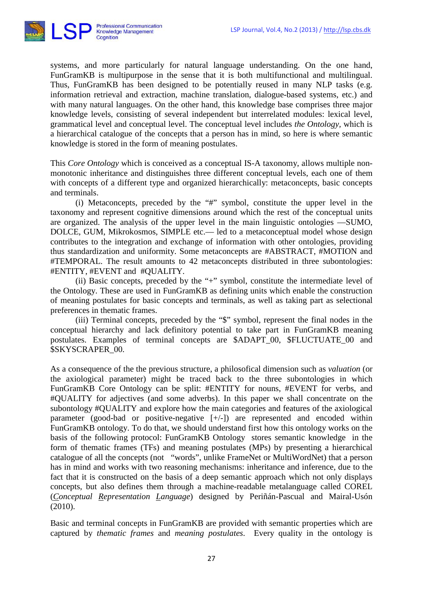

systems, and more particularly for natural language understanding. On the one hand, FunGramKB is multipurpose in the sense that it is both multifunctional and multilingual. Thus, FunGramKB has been designed to be potentially reused in many NLP tasks (e.g. information retrieval and extraction, machine translation, dialogue-based systems, etc.) and with many natural languages. On the other hand, this knowledge base comprises three major knowledge levels, consisting of several independent but interrelated modules: lexical level, grammatical level and conceptual level. The conceptual level includes *the Ontology,* which is a hierarchical catalogue of the concepts that a person has in mind, so here is where semantic knowledge is stored in the form of meaning postulates.

This *Core Ontology* which is conceived as a conceptual IS-A taxonomy, allows multiple nonmonotonic inheritance and distinguishes three different conceptual levels, each one of them with concepts of a different type and organized hierarchically: metaconcepts, basic concepts and terminals.

(i) Metaconcepts, preceded by the "#" symbol, constitute the upper level in the taxonomy and represent cognitive dimensions around which the rest of the conceptual units are organized. The analysis of the upper level in the main linguistic ontologies —SUMO, DOLCE, GUM, Mikrokosmos, SIMPLE etc.— led to a metaconceptual model whose design contributes to the integration and exchange of information with other ontologies, providing thus standardization and uniformity. Some metaconcepts are #ABSTRACT, #MOTION and #TEMPORAL. The result amounts to 42 metaconcepts distributed in three subontologies: #ENTITY, #EVENT and #QUALITY.

(ii) Basic concepts, preceded by the "+" symbol, constitute the intermediate level of the Ontology. These are used in FunGramKB as defining units which enable the construction of meaning postulates for basic concepts and terminals, as well as taking part as selectional preferences in thematic frames.

(iii) Terminal concepts, preceded by the "\$" symbol, represent the final nodes in the conceptual hierarchy and lack definitory potential to take part in FunGramKB meaning postulates. Examples of terminal concepts are \$ADAPT\_00, \$FLUCTUATE\_00 and \$SKYSCRAPER\_00.

As a consequence of the the previous structure, a philosofical dimension such as *valuation* (or the axiological parameter) might be traced back to the three subontologies in which FunGramKB Core Ontology can be split: #ENTITY for nouns, #EVENT for verbs, and #QUALITY for adjectives (and some adverbs). In this paper we shall concentrate on the subontology #QUALITY and explore how the main categories and features of the axiological parameter (good-bad or positive-negative [+/-]) are represented and encoded within FunGramKB ontology. To do that, we should understand first how this ontology works on the basis of the following protocol: FunGramKB Ontology stores semantic knowledge in the form of thematic frames (TFs) and meaning postulates (MPs) by presenting a hierarchical catalogue of all the concepts (not "words", unlike FrameNet or MultiWordNet) that a person has in mind and works with two reasoning mechanisms: inheritance and inference, due to the fact that it is constructed on the basis of a deep semantic approach which not only displays concepts, but also defines them through a machine-readable metalanguage called COREL (*Conceptual Representation Language*) designed by Periñán-Pascual and Mairal-Usón (2010).

Basic and terminal concepts in FunGramKB are provided with semantic properties which are captured by *thematic frames* and *meaning postulates*. Every quality in the ontology is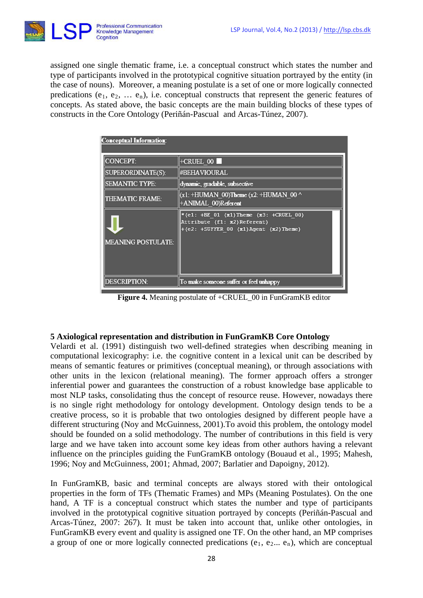

assigned one single thematic frame, i.e. a conceptual construct which states the number and type of participants involved in the prototypical cognitive situation portrayed by the entity (in the case of nouns). Moreover, a meaning postulate is a set of one or more logically connected predications (e<sub>1</sub>, e<sub>2</sub>, ... e<sub>n</sub>), i.e. conceptual constructs that represent the generic features of concepts. As stated above, the basic concepts are the main building blocks of these types of constructs in the Core Ontology (Periñán-Pascual and Arcas-Túnez, 2007).

| Conceptual Information:   |                                                                                                                 |  |
|---------------------------|-----------------------------------------------------------------------------------------------------------------|--|
| <b>CONCEPT:</b>           | $+C RULEL$ $00$                                                                                                 |  |
| <b>SUPERORDINATE(S):</b>  | <b>#BEHAVIOURAL</b>                                                                                             |  |
| <b>SEMANTIC TYPE:</b>     | dynamic, gradable, subsective                                                                                   |  |
| <b>THEMATIC FRAME:</b>    | $(x1: +HUMAN 00)$ Theme $(x2: +HUMAN 00^{\wedge})$<br>+ANIMAL 00)Referent                                       |  |
|                           | *(e1: +BE 01 (x1)Theme (x3: +CRUEL 00)<br>Attribute (f1: x2) Referent)<br>+(e2: +SUFFER 00 (x1)Agent (x2)Theme) |  |
| <b>MEANING POSTULATE:</b> |                                                                                                                 |  |
| <b>DESCRIPTION:</b>       | To make someone suffer or feel unhappy                                                                          |  |

**Figure 4.** Meaning postulate of +CRUEL\_00 in FunGramKB editor

# **5 Axiological representation and distribution in FunGramKB Core Ontology**

Velardi et al. (1991) distinguish two well-defined strategies when describing meaning in computational lexicography: i.e. the cognitive content in a lexical unit can be described by means of semantic features or primitives (conceptual meaning), or through associations with other units in the lexicon (relational meaning). The former approach offers a stronger inferential power and guarantees the construction of a robust knowledge base applicable to most NLP tasks, consolidating thus the concept of resource reuse. However, nowadays there is no single right methodology for ontology development. Ontology design tends to be a creative process, so it is probable that two ontologies designed by different people have a different structuring (Noy and McGuinness, 2001).To avoid this problem, the ontology model should be founded on a solid methodology. The number of contributions in this field is very large and we have taken into account some key ideas from other authors having a relevant influence on the principles guiding the FunGramKB ontology (Bouaud et al., 1995; Mahesh, 1996; Noy and McGuinness, 2001; Ahmad, 2007; Barlatier and Dapoigny, 2012).

In FunGramKB, basic and terminal concepts are always stored with their ontological properties in the form of TFs (Thematic Frames) and MPs (Meaning Postulates). On the one hand, A TF is a conceptual construct which states the number and type of participants involved in the prototypical cognitive situation portrayed by concepts (Periñán-Pascual and Arcas-Túnez, 2007: 267). It must be taken into account that, unlike other ontologies, in FunGramKB every event and quality is assigned one TF. On the other hand, an MP comprises a group of one or more logically connected predications  $(e_1, e_2... e_n)$ , which are conceptual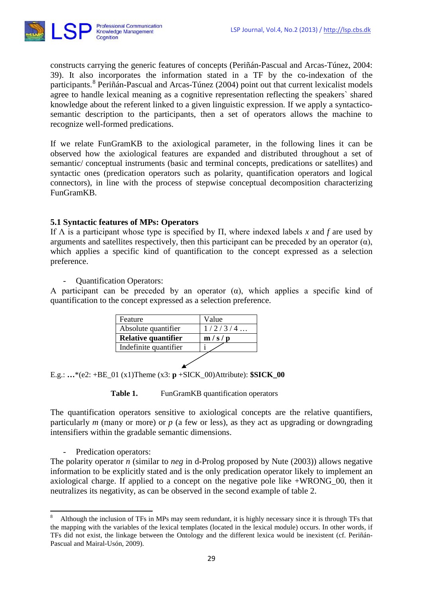

constructs carrying the generic features of concepts (Periñán-Pascual and Arcas-Túnez, 2004: 39). It also incorporates the information stated in a TF by the co-indexation of the participants. [8](#page-8-0) Periñán-Pascual and Arcas-Túnez (2004) point out that current lexicalist models agree to handle lexical meaning as a cognitive representation reflecting the speakers` shared knowledge about the referent linked to a given linguistic expression. If we apply a syntacticosemantic description to the participants, then a set of operators allows the machine to recognize well-formed predications.

If we relate FunGramKB to the axiological parameter, in the following lines it can be observed how the axiological features are expanded and distributed throughout a set of semantic/ conceptual instruments (basic and terminal concepts, predications or satellites) and syntactic ones (predication operators such as polarity, quantification operators and logical connectors), in line with the process of stepwise conceptual decomposition characterizing FunGramKB.

# **5.1 Syntactic features of MPs: Operators**

If Λ is a participant whose type is specified by Π, where indexed labels *x* and *f* are used by arguments and satellites respectively, then this participant can be preceded by an operator  $(\alpha)$ , which applies a specific kind of quantification to the concept expressed as a selection preference.

- Quantification Operators:

A participant can be preceded by an operator  $(\alpha)$ , which applies a specific kind of quantification to the concept expressed as a selection preference.

| Feature                    | Value   |
|----------------------------|---------|
| Absolute quantifier        | 1/2/3/4 |
| <b>Relative quantifier</b> | m/s/p   |
| Indefinite quantifier      |         |
|                            |         |

E.g.: **…**\*(e2: +BE\_01 (x1)Theme (x3: **p** +SICK\_00)Attribute): **\$SICK\_00**

Table 1. FunGramKB quantification operators

The quantification operators sensitive to axiological concepts are the relative quantifiers, particularly *m* (many or more) or *p* (a few or less), as they act as upgrading or downgrading intensifiers within the gradable semantic dimensions.

- Predication operators:

1

The polarity operator *n* (similar to *neg* in d-Prolog proposed by Nute (2003)) allows negative information to be explicitly stated and is the only predication operator likely to implement an axiological charge. If applied to a concept on the negative pole like +WRONG\_00, then it neutralizes its negativity, as can be observed in the second example of table 2.

<span id="page-8-0"></span><sup>8</sup> Although the inclusion of TFs in MPs may seem redundant, it is highly necessary since it is through TFs that the mapping with the variables of the lexical templates (located in the lexical module) occurs. In other words, if TFs did not exist, the linkage between the Ontology and the different lexica would be inexistent (cf. Periñán-Pascual and Mairal-Usón, 2009).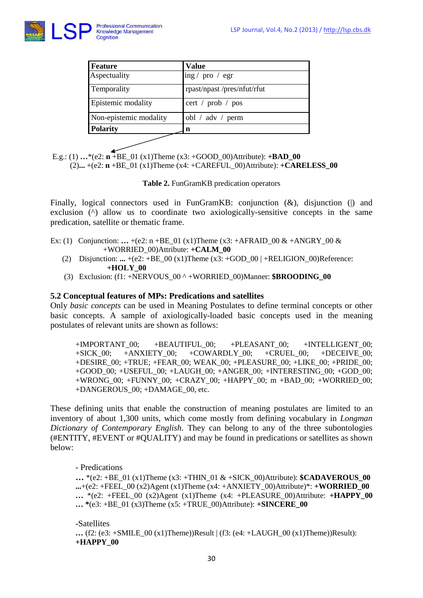

| Feature                | <b>Value</b>                       |
|------------------------|------------------------------------|
| Aspectuality           | ing / $pro / egr$                  |
| Temporality            | rpast/npast/pres/nfut/rfut         |
| Epistemic modality     | cert / $prob / pos$                |
| Non-epistemic modality | obl / $\text{adv}$ / $\text{perm}$ |
| <b>Polarity</b>        | n                                  |
|                        |                                    |

E.g.: (1) **…**\*(e2: **n** +BE\_01 (x1)Theme (x3: +GOOD\_00)Attribute): **+BAD\_00** (2)**...** +(e2: **n** +BE\_01 (x1)Theme (x4: +CAREFUL\_00)Attribute): **+CARELESS\_00**

**Table 2.** FunGramKB predication operators

Finally, logical connectors used in FunGramKB: conjunction ( $\&$ ), disjunction (|) and exclusion ( $\land$ ) allow us to coordinate two axiologically-sensitive concepts in the same predication, satellite or thematic frame.

- Ex: (1) Conjunction: ...  $+(e2: n + BE_01 (x1)$ Theme (x3:  $+AFRAID_00 & \& +ANGRY_00 & \&$  +WORRIED\_00)Attribute: **+CALM\_00**
	- (2) Disjunction: **...** +(e2: +BE\_00 (x1)Theme (x3: +GOD\_00 | +RELIGION\_00)Reference: **+HOLY\_00**
	- (3) Exclusion: (f1: +NERVOUS\_00 ^ +WORRIED\_00)Manner: **\$BROODING\_00**

# **5.2 Conceptual features of MPs: Predications and satellites**

Only *basic concepts* can be used in Meaning Postulates to define terminal concepts or other basic concepts. A sample of axiologically-loaded basic concepts used in the meaning postulates of relevant units are shown as follows:

+IMPORTANT\_00; +BEAUTIFUL\_00; +PLEASANT\_00; +INTELLIGENT\_00;<br>+SICK 00: +ANXIETY 00; +COWARDLY\_00; +CRUEL\_00; +DECEIVE\_00;  $+SICK\_00;$   $+ANXIETY_00;$   $+COMARDLY_00;$   $+CRUEL_00;$   $+DECEIVE_00;$ +DESIRE  $00$ : +TRUE; +FEAR  $00$ : WEAK  $00$ : +PLEASURE  $00$ : +LIKE  $00$ : +PRIDE  $00$ ; +GOOD\_00; +USEFUL\_00; +LAUGH\_00; +ANGER\_00; +INTERESTING\_00; +GOD\_00; +WRONG\_00; +FUNNY\_00; +CRAZY\_00; +HAPPY\_00; m +BAD\_00; +WORRIED\_00; +DANGEROUS\_00; +DAMAGE\_00, etc.

These defining units that enable the construction of meaning postulates are limited to an inventory of about 1,300 units, which come mostly from defining vocabulary in *Longman Dictionary of Contemporary English*. They can belong to any of the three subontologies (#ENTITY, #EVENT or #QUALITY) and may be found in predications or satellites as shown below:

- Predications

 $\ldots$  \*(e2: +BE\_01 (x1)Theme (x3: +THIN\_01 & +SICK\_00)Attribute): **\$CADAVEROUS**\_00  $\ldots$ +(e2: +FEEL 00 (x2)Agent (x1)Theme (x4: +ANXIETY 00)Attribute)\*: **+WORRIED 00 …** \*(e2: +FEEL\_00 (x2)Agent (x1)Theme (x4: +PLEASURE\_00)Attribute: **+HAPPY\_00 … \***(e3: +BE\_01 (x3)Theme (x5: +TRUE\_00)Attribute): **+SINCERE\_00**

-Satellites  $\ldots$  (f2: (e3: +SMILE 00 (x1)Theme))Result | (f3: (e4: +LAUGH 00 (x1)Theme))Result): **+HAPPY\_00**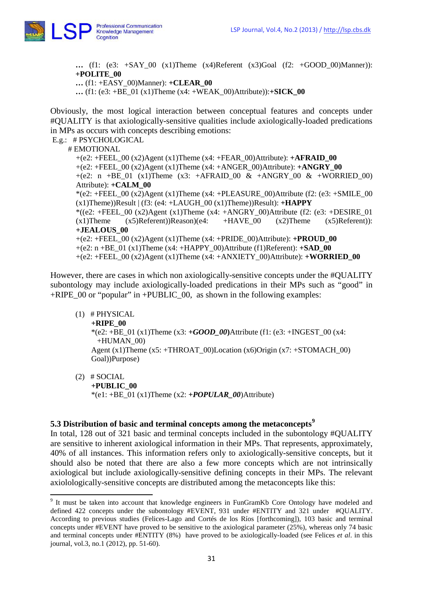

**…** (f1: (e3: +SAY\_00 (x1)Theme (x4)Referent (x3)Goal (f2: +GOOD\_00)Manner)): **+POLITE\_00** 

**…** (f1: +EASY\_00)Manner): **+CLEAR\_00** 

 $\ldots$  (f1: (e3: +BE\_01 (x1)Theme (x4: +WEAK\_00)Attribute)): $+$ **SICK\_00** 

Obviously, the most logical interaction between conceptual features and concepts under #QUALITY is that axiologically-sensitive qualities include axiologically-loaded predications in MPs as occurs with concepts describing emotions:

E.g.: # PSYCHOLOGICAL

# EMOTIONAL

+(e2: +FEEL\_00 (x2)Agent (x1)Theme (x4: +FEAR\_00)Attribute): **+AFRAID\_00** +(e2: +FEEL\_00 (x2)Agent (x1)Theme (x4: +ANGER\_00)Attribute): **+ANGRY\_00** +(e2: n +BE\_01 (x1)Theme (x3: +AFRAID\_00 & +ANGRY\_00 & +WORRIED\_00) Attribute): **+CALM\_00**  $*(e2: + FEEL_00 (x2) Agent (x1) Thene (x4: + PLEASURE_00)Attribute (f2: (e3: +SMILE_00))$  $(x1)$ Theme))Result  $|(f3:(e4: +LAUGH_0)(x1)$ Theme))Result):  $+HAPPY$ \*((e2: +FEEL\_00 (x2)Agent (x1)Theme (x4: +ANGRY\_00)Attribute (f2: (e3: +DESIRE\_01) (x1)Theme (x5)Referent))Reason)(e4: +HAVE\_00 (x2)Theme (x5)Referent)): **+JEALOUS\_00** +(e2: +FEEL\_00 (x2)Agent (x1)Theme (x4: +PRIDE\_00)Attribute): **+PROUD\_00** +(e2: n +BE\_01 (x1)Theme (x4: +HAPPY\_00)Attribute (f1)Referent): **+SAD\_00** +(e2: +FEEL\_00 (x2)Agent (x1)Theme (x4: +ANXIETY\_00)Attribute): **+WORRIED\_00**

However, there are cases in which non axiologically-sensitive concepts under the #QUALITY subontology may include axiologically-loaded predications in their MPs such as "good" in  $+RIPE$  00 or "popular" in  $+PUBLIC$  00, as shown in the following examples:

#### (1) # PHYSICAL

**.** 

 **+RIPE\_00**  \*(e2:  $+\overline{BE}$  01 (x1)Theme (x3:  $+GOOD$  00)Attribute (f1: (e3: +INGEST 00 (x4:  $+HUMAN$  00) Agent (x1)Theme (x5: +THROAT\_00)Location (x6)Origin (x7: +STOMACH\_00) Goal))Purpose)

 $(2)$  # SOCIAL **+PUBLIC\_00** \*(e1:  $+BE_{01}$  (x1)Theme (x2:  $+POPULAR_{00}$ )Attribute)

# **5.3 Distribution of basic and terminal concepts among the metaconcepts[9](#page-10-0)**

In total, 128 out of 321 basic and terminal concepts included in the subontology #QUALITY are sensitive to inherent axiological information in their MPs. That represents, approximately, 40% of all instances. This information refers only to axiologically-sensitive concepts, but it should also be noted that there are also a few more concepts which are not intrinsically axiological but include axiologically-sensitive defining concepts in their MPs. The relevant axiolologically-sensitive concepts are distributed among the metaconcepts like this:

<span id="page-10-0"></span><sup>&</sup>lt;sup>9</sup> It must be taken into account that knowledge engineers in FunGramKb Core Ontology have modeled and defined 422 concepts under the subontology #EVENT, 931 under #ENTITY and 321 under #QUALITY. According to previous studies (Felices-Lago and Cortés de los Ríos [forthcoming]), 103 basic and terminal concepts under #EVENT have proved to be sensitive to the axiological parameter (25%), whereas only 74 basic and terminal concepts under #ENTITY (8%) have proved to be axiologically-loaded (see Felices *et al*. in this journal*,* vol.3, no.1 (2012), pp. 51-60).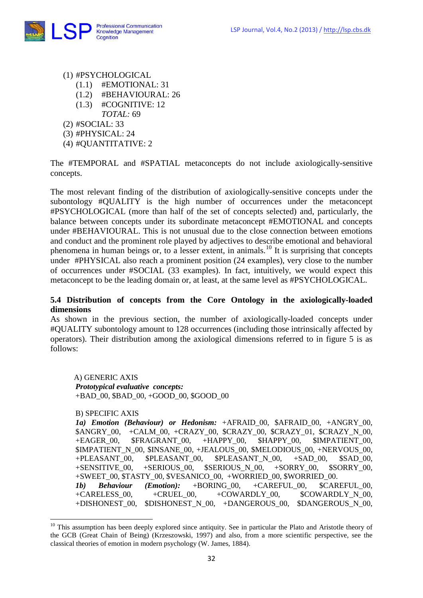

- (1) #PSYCHOLOGICAL
	- (1.1) #EMOTIONAL: 31
	- (1.2) #BEHAVIOURAL: 26
	- (1.3) #COGNITIVE: 12
	- *TOTAL:* 69
- (2) #SOCIAL: 33
- (3) #PHYSICAL: 24
- (4) #QUANTITATIVE: 2

The #TEMPORAL and #SPATIAL metaconcepts do not include axiologically-sensitive concepts.

The most relevant finding of the distribution of axiologically-sensitive concepts under the subontology #QUALITY is the high number of occurrences under the metaconcept #PSYCHOLOGICAL (more than half of the set of concepts selected) and, particularly, the balance between concepts under its subordinate metaconcept #EMOTIONAL and concepts under #BEHAVIOURAL. This is not unusual due to the close connection between emotions and conduct and the prominent role played by adjectives to describe emotional and behavioral phenomena in human beings or, to a lesser extent, in animals.[10](#page-11-0) It is surprising that concepts under #PHYSICAL also reach a prominent position (24 examples), very close to the number of occurrences under #SOCIAL (33 examples). In fact, intuitively, we would expect this metaconcept to be the leading domain or, at least, at the same level as #PSYCHOLOGICAL.

# **5.4 Distribution of concepts from the Core Ontology in the axiologically-loaded dimensions**

As shown in the previous section, the number of axiologically-loaded concepts under #QUALITY subontology amount to 128 occurrences (including those intrinsically affected by operators). Their distribution among the axiological dimensions referred to in figure 5 is as follows:

 A) GENERIC AXIS *Prototypical evaluative concepts:* +BAD\_00, \$BAD\_00, +GOOD\_00, \$GOOD\_00

B) SPECIFIC AXIS

**.** 

*1a) Emotion (Behaviour) or Hedonism:* +AFRAID\_00, \$AFRAID\_00, +ANGRY\_00, \$ANGRY\_00, +CALM\_00, +CRAZY\_00, \$CRAZY\_00, \$CRAZY\_01, \$CRAZY\_N\_00, +EAGER\_00, \$FRAGRANT\_00, +HAPPY\_00, \$HAPPY\_00, \$IMPATIENT\_00, \$IMPATIENT\_N\_00, \$INSANE\_00, +JEALOUS\_00, \$MELODIOUS\_00, +NERVOUS\_00, +PLEASANT\_00, \$PLEASANT\_00, \$PLEASANT\_N\_00, +SAD\_00, \$SAD\_00, +SENSITIVE\_00, +SERIOUS\_00, \$SERIOUS\_N\_00, +SORRY\_00, \$SORRY\_00, +SWEET\_00, \$TASTY\_00, \$VESANICO\_00, +WORRIED\_00, \$WORRIED\_00. *1b) Behaviour (Emotion):* +BORING\_00, +CAREFUL\_00, \$CAREFUL\_00, +CARELESS\_00, +CRUEL\_00, +COWARDLY\_00, \$COWARDLY\_N\_00, +DISHONEST\_00, \$DISHONEST\_N\_00, +DANGEROUS\_00, \$DANGEROUS\_N\_00,

<span id="page-11-0"></span><sup>&</sup>lt;sup>10</sup> This assumption has been deeply explored since antiquity. See in particular the Plato and Aristotle theory of the GCB (Great Chain of Being) (Krzeszowski, 1997) and also, from a more scientific perspective, see the classical theories of emotion in modern psychology (W. James, 1884).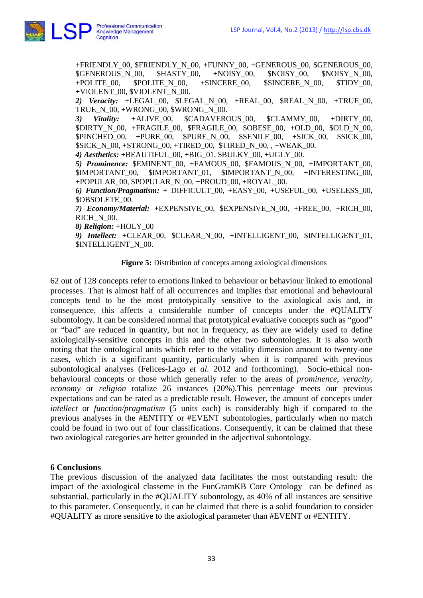

+FRIENDLY\_00, \$FRIENDLY\_N\_00, +FUNNY\_00, +GENEROUS\_00, \$GENEROUS\_00, \$GENEROUS\_N\_00, \$HASTY\_00, +NOISY\_00, \$NOISY\_00, \$NOISY\_N\_00, +POLITE 00,  $$POLITE\ N\ 00, +SINCERE\ 00, 5SINCERE\ N\ 00, 5TIDY\ 00,$ +VIOLENT\_00, \$VIOLENT\_N\_00. *2) Veracity:* +LEGAL\_00, \$LEGAL\_N\_00, +REAL\_00, \$REAL\_N\_00, +TRUE\_00, TRUE\_N\_00, +WRONG\_00, \$WRONG\_N\_00. *3) Vitality: +*ALIVE\_00, \$CADAVEROUS\_00, \$CLAMMY\_00, +DIRTY\_00, \$DIRTY\_N\_00, +FRAGILE\_00, \$FRAGILE\_00, \$OBESE\_00, +OLD\_00, \$OLD\_N\_00, \$PINCHED\_00, +PURE\_00, \$PURE\_N\_00, \$SENILE\_00, +SICK\_00, \$SICK\_00,  $SICK$  N 00, +STRONG 00, +TIRED 00,  $STIRED$  N 00, , +WEAK 00. *4) Aesthetics:* +BEAUTIFUL\_00, +BIG\_01, \$BULKY\_00, +UGLY\_00. *5) Prominence:* \$EMINENT\_00, +FAMOUS\_00, \$FAMOUS\_N\_00, +IMPORTANT\_00, \$IMPORTANT\_00, \$IMPORTANT\_01, \$IMPORTANT\_N\_00, +INTERESTING\_00, +POPULAR\_00, \$POPULAR\_N\_00, +PROUD\_00, +ROYAL\_00. *6) Function/Pragmatism:* + DIFFICULT\_00, +EASY\_00, +USEFUL\_00, +USELESS\_00, \$OBSOLETE\_00. *7) Economy/Material:* +EXPENSIVE\_00, \$EXPENSIVE\_N\_00, +FREE\_00, +RICH\_00, RICH\_N\_00. *8) Religion:* +HOLY\_00 *9) Intellect:* +CLEAR\_00, \$CLEAR\_N\_00, +INTELLIGENT\_00, \$INTELLIGENT\_01, \$INTELLIGENT\_N\_00.

**Figure 5:** Distribution of concepts among axiological dimensions

62 out of 128 concepts refer to emotions linked to behaviour or behaviour linked to emotional processes. That is almost half of all occurrences and implies that emotional and behavioural concepts tend to be the most prototypically sensitive to the axiological axis and, in consequence, this affects a considerable number of concepts under the #QUALITY subontology. It can be considered normal that prototypical evaluative concepts such as "good" or "bad" are reduced in quantity, but not in frequency, as they are widely used to define axiologically-sensitive concepts in this and the other two subontologies. It is also worth noting that the ontological units which refer to the vitality dimension amount to twenty-one cases, which is a significant quantity, particularly when it is compared with previous subontological analyses (Felices-Lago *et al.* 2012 and forthcoming). Socio-ethical nonbehavioural concepts or those which generally refer to the areas of *prominence*, *veracity, economy* or *religion* totalize 26 instances (20%).This percentage meets our previous expectations and can be rated as a predictable result. However, the amount of concepts under *intellect* or *function/pragmatism* (5 units each) is considerably high if compared to the previous analyses in the #ENTITY or #EVENT subontologies, particularly when no match could be found in two out of four classifications. Consequently, it can be claimed that these two axiological categories are better grounded in the adjectival subontology.

# **6 Conclusions**

The previous discussion of the analyzed data facilitates the most outstanding result: the impact of the axiological classeme in the FunGramKB Core Ontology can be defined as substantial, particularly in the #QUALITY subontology, as 40% of all instances are sensitive to this parameter. Consequently, it can be claimed that there is a solid foundation to consider #QUALITY as more sensitive to the axiological parameter than #EVENT or #ENTITY.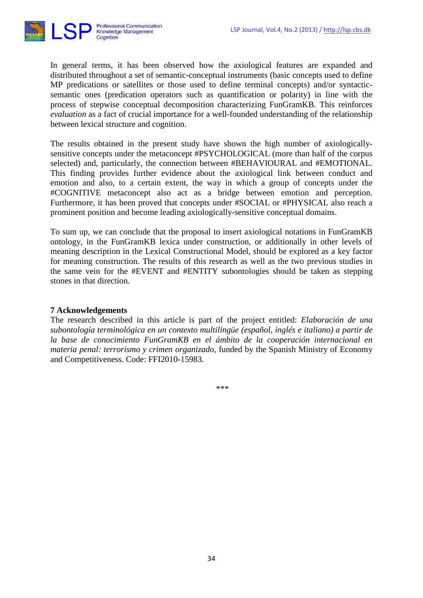

In general terms, it has been observed how the axiological features are expanded and distributed throughout a set of semantic-conceptual instruments (basic concepts used to define MP predications or satellites or those used to define terminal concepts) and/or syntacticsemantic ones (predication operators such as quantification or polarity) in line with the process of stepwise conceptual decomposition characterizing FunGramKB. This reinforces *evaluation* as a fact of crucial importance for a well-founded understanding of the relationship between lexical structure and cognition.

The results obtained in the present study have shown the high number of axiologicallysensitive concepts under the metaconcept #PSYCHOLOGICAL (more than half of the corpus selected) and, particularly, the connection between #BEHAVIOURAL and #EMOTIONAL. This finding provides further evidence about the axiological link between conduct and emotion and also, to a certain extent, the way in which a group of concepts under the #COGNITIVE metaconcept also act as a bridge between emotion and perception. Furthermore, it has been proved that concepts under #SOCIAL or #PHYSICAL also reach a prominent position and become leading axiologically-sensitive conceptual domains.

To sum up, we can conclude that the proposal to insert axiological notations in FunGramKB ontology, in the FunGramKB lexica under construction, or additionally in other levels of meaning description in the Lexical Constructional Model, should be explored as a key factor for meaning construction. The results of this research as well as the two previous studies in the same vein for the #EVENT and #ENTITY subontologies should be taken as stepping stones in that direction.

# **7 Acknowledgements**

The research described in this article is part of the project entitled: *Elaboración de una subontología terminológica en un contexto multilingüe (español, inglés e italiano) a partir de la base de conocimiento FunGramKB en el ámbito de la cooperación internacional en materia penal: terrorismo y crimen organizado*, funded by the Spanish Ministry of Economy and Competitiveness. Code: FFI2010-15983.

\*\*\*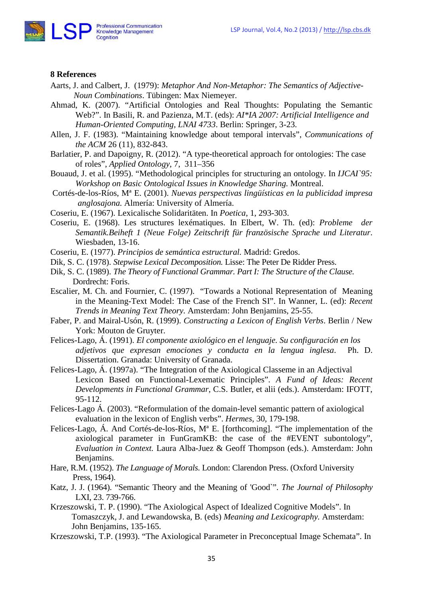

#### **8 References**

- Aarts, J. and Calbert, J. (1979): *Metaphor And Non-Metaphor: The Semantics of Adjective- Noun Combinations*. Tübingen: Max Niemeyer.
- Ahmad, K. (2007). "Artificial Ontologies and Real Thoughts: Populating the Semantic Web?". In Basili, R. and Pazienza, M.T. (eds): *AI\*IA 2007: Artificial Intelligence and Human-Oriented Computing, LNAI 4733*. Berlin: Springer, 3-23.
- Allen, J. F. (1983). "Maintaining knowledge about temporal intervals", *Communications of the ACM* 26 (11), 832-843.
- Barlatier, P. and Dapoigny, R. (2012). "A type-theoretical approach for ontologies: The case of roles", *Applied Ontology*, 7, 311–356
- Bouaud, J. et al. (1995). "Methodological principles for structuring an ontology. In *IJCAI`95: Workshop on Basic Ontological Issues in Knowledge Sharing.* Montreal.
- Cortés-de-los-Ríos, Mª E. (2001). *Nuevas perspectivas lingüísticas en la publicidad impresa anglosajona.* Almería: University of Almería.
- Coseriu, E. (1967). Lexicalische Solidaritäten. In *Poetica*, 1, 293-303.
- Coseriu, E. (1968). Les structures lexématiques. In Elbert, W. Th. (ed): *Probleme der Semantik.Beiheft 1 (Neue Folge) Zeitschrift für französische Sprache und Literatur*. Wiesbaden, 13-16.
- Coseriu, E. (1977). *Principios de semántica estructural.* Madrid: Gredos.
- Dik, S. C. (1978). *Stepwise Lexical Decomposition.* Lisse: The Peter De Ridder Press.
- Dik, S. C. (1989). *The Theory of Functional Grammar. Part I: The Structure of the Clause.* Dordrecht: Foris.
- Escalier, M. Ch. and Fournier, C. (1997). "Towards a Notional Representation of Meaning in the Meaning-Text Model: The Case of the French SI". In Wanner, L. (ed): *Recent Trends in Meaning Text Theory.* Amsterdam: John Benjamins, 25-55.
- Faber, P. and Mairal-Usón, R. (1999). *Constructing a Lexicon of English Verbs*. Berlin / New York: Mouton de Gruyter.
- Felices-Lago, Á. (1991). *El componente axiológico en el lenguaje. Su configuración en los adjetivos que expresan emociones y conducta en la lengua inglesa*. Ph. D. Dissertation. Granada: University of Granada.
- Felices-Lago, Á. (1997a). "The Integration of the Axiological Classeme in an Adjectival Lexicon Based on Functional-Lexematic Principles". *A Fund of Ideas: Recent Developments in Functional Grammar*, C.S. Butler, et alii (eds.). Amsterdam: IFOTT, 95-112.
- Felices-Lago Á. (2003). "Reformulation of the domain-level semantic pattern of axiological evaluation in the lexicon of English verbs". *Hermes*, 30, 179-198.
- Felices-Lago, Á. And Cortés-de-los-Ríos, Mª E. [forthcoming]. "The implementation of the axiological parameter in FunGramKB: the case of the #EVENT subontology", *Evaluation in Context.* Laura Alba-Juez & Geoff Thompson (eds.). Amsterdam: John Benjamins.
- Hare, R.M. (1952). *The Language of Morals.* London: Clarendon Press. (Oxford University Press, 1964).
- Katz, J. J. (1964). "Semantic Theory and the Meaning of 'Good`". *The Journal of Philosophy* LXI, 23. 739-766.
- Krzeszowski, T. P. (1990). "The Axiological Aspect of Idealized Cognitive Models". In Tomaszczyk, J. and Lewandowska, B. (eds) *Meaning and Lexicography.* Amsterdam: John Benjamins, 135-165.
- Krzeszowski, T.P. (1993). "The Axiological Parameter in Preconceptual Image Schemata". In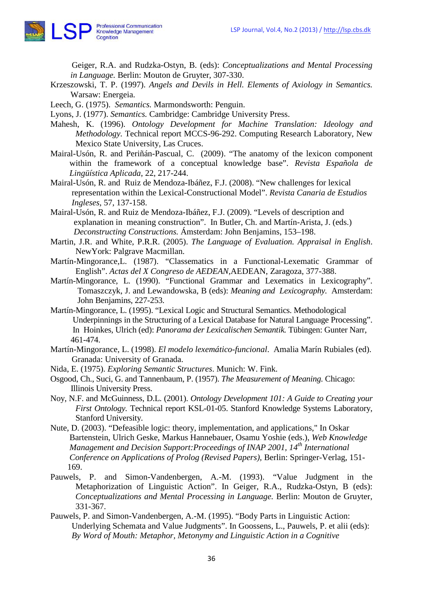

Geiger, R.A. and Rudzka-Ostyn, B. (eds): *Conceptualizations and Mental Processing in Language.* Berlin: Mouton de Gruyter, 307-330.

- Krzeszowski, T. P. (1997). *Angels and Devils in Hell. Elements of Axiology in Semantics.*  Warsaw: Energeia.
- Leech, G. (1975). *Semantics.* Marmondsworth: Penguin.

Lyons, J. (1977). *Semantics.* Cambridge: Cambridge University Press.

- Mahesh, K. (1996). *Ontology Development for Machine Translation: Ideology and Methodology.* Technical report MCCS-96-292. Computing Research Laboratory, New Mexico State University, Las Cruces.
- Mairal-Usón, R. and Periñán-Pascual, C. (2009). "The anatomy of the lexicon component within the framework of a conceptual knowledge base". *Revista Española de Lingüística Aplicada*, 22, 217-244.
- Mairal-Usón, R. and Ruiz de Mendoza-Ibáñez, F.J. (2008). "New challenges for lexical representation within the Lexical-Constructional Model". *Revista Canaria de Estudios Ingleses*, 57, 137-158.

Mairal-Usón, R. and Ruiz de Mendoza-Ibáñez, F.J. (2009). "Levels of description and explanation in meaning construction". In Butler, Ch. and Martín-Arista, J. (eds.) *Deconstructing Constructions.* Ámsterdam: John Benjamins, 153–198.

Martin, J.R. and White, P.R.R. (2005). *The Language of Evaluation. Appraisal in English*. NewYork: Palgrave Macmillan.

Martín-Mingorance,L. (1987). "Classematics in a Functional-Lexematic Grammar of English". *Actas del X Congreso de AEDEAN,*AEDEAN, Zaragoza, 377-388.

- Martín-Mingorance, L. (1990). "Functional Grammar and Lexematics in Lexicography". Tomaszczyk, J. and Lewandowska, B (eds): *Meaning and Lexicography.* Amsterdam: John Benjamins, 227-253.
- Martín-Mingorance, L. (1995). "Lexical Logic and Structural Semantics. Methodological Underpinnings in the Structuring of a Lexical Database for Natural Language Processing". In Hoinkes*,* Ulrich (ed): *Panorama der Lexicalischen Semantik.* Tübingen: Gunter Narr, 461-474.
- Martín-Mingorance, L. (1998). *El modelo lexemático-funcional*. Amalia Marín Rubiales (ed). Granada: University of Granada.
- Nida, E. (1975). *Exploring Semantic Structures*. Munich: W. Fink.

Osgood, Ch., Suci, G. and Tannenbaum, P. (1957). *The Measurement of Meaning.* Chicago: Illinois University Press.

- Noy, N.F. and McGuinness, D.L. (2001). *Ontology Development 101: A Guide to Creating your First Ontology.* Technical report KSL-01-05. Stanford Knowledge Systems Laboratory, Stanford University.
- Nute, D. (2003). "Defeasible logic: theory, implementation, and applications," In Oskar Bartenstein, Ulrich Geske, Markus Hannebauer, Osamu Yoshie (eds.), *Web Knowledge Management and Decision Support:Proceedings of INAP 2001, 14th International Conference on Applications of Prolog (Revised Papers),* Berlin: Springer-Verlag, 151- 169.
- Pauwels, P. and Simon-Vandenbergen, A.-M. (1993). "Value Judgment in the Metaphorization of Linguistic Action". In Geiger, R.A., Rudzka-Ostyn, B (eds): *Conceptualizations and Mental Processing in Language.* Berlin: Mouton de Gruyter, 331-367.
- Pauwels, P. and Simon-Vandenbergen, A.-M. (1995). "Body Parts in Linguistic Action: Underlying Schemata and Value Judgments". In Goossens, L., Pauwels, P. et alii (eds): *By Word of Mouth: Metaphor, Metonymy and Linguistic Action in a Cognitive*